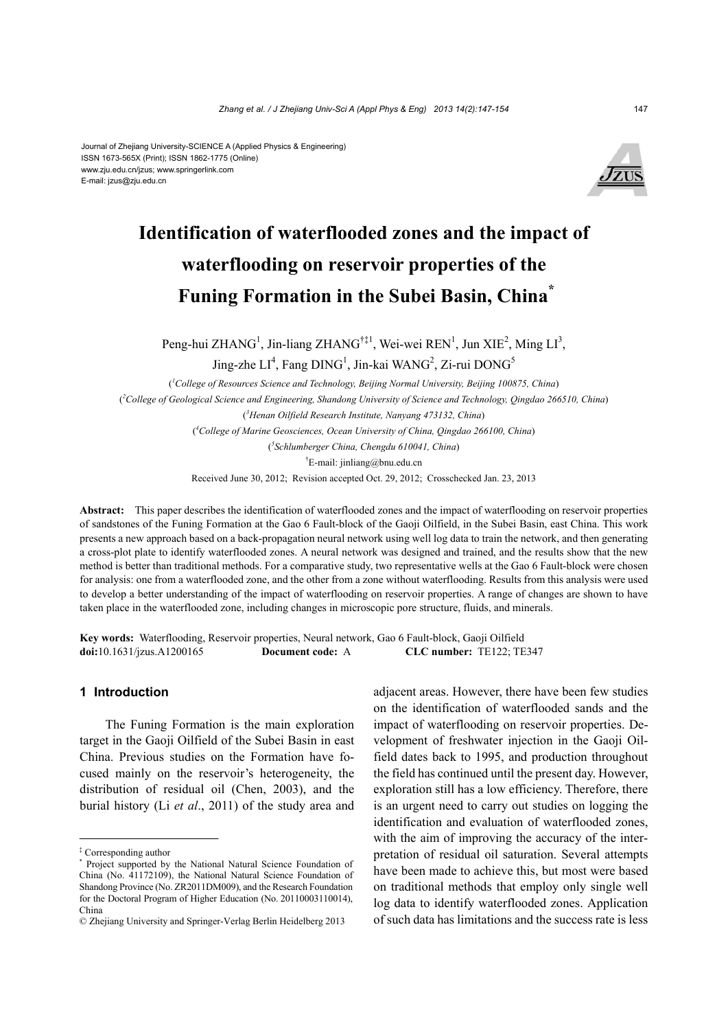#### Journal of Zhejiang University-SCIENCE A (Applied Physics & Engineering) ISSN 1673-565X (Print); ISSN 1862-1775 (Online) www.zju.edu.cn/jzus; www.springerlink.com E-mail: jzus@zju.edu.cn



# **Identification of waterflooded zones and the impact of waterflooding on reservoir properties of the Funing Formation in the Subei Basin, China\***

Peng-hui ZHANG<sup>1</sup>, Jin-liang ZHANG<sup>†‡1</sup>, Wei-wei REN<sup>1</sup>, Jun XIE<sup>2</sup>, Ming LI<sup>3</sup>,

Jing-zhe  $LI^4$ , Fang DING<sup>1</sup>, Jin-kai WANG<sup>2</sup>, Zi-rui DONG<sup>5</sup>

( *1 College of Resources Science and Technology, Beijing Normal University, Beijing 100875, China*) ( *2 College of Geological Science and Engineering, Shandong University of Science and Technology, Qingdao 266510, China*) ( *3 Henan Oilfield Research Institute, Nanyang 473132, China*) ( *4 College of Marine Geosciences, Ocean University of China, Qingdao 266100, China*) ( *5 Schlumberger China, Chengdu 610041, China*) † E-mail: jinliang@bnu.edu.cn

Received June 30, 2012; Revision accepted Oct. 29, 2012; Crosschecked Jan. 23, 2013

**Abstract:** This paper describes the identification of waterflooded zones and the impact of waterflooding on reservoir properties of sandstones of the Funing Formation at the Gao 6 Fault-block of the Gaoji Oilfield, in the Subei Basin, east China. This work presents a new approach based on a back-propagation neural network using well log data to train the network, and then generating a cross-plot plate to identify waterflooded zones. A neural network was designed and trained, and the results show that the new method is better than traditional methods. For a comparative study, two representative wells at the Gao 6 Fault-block were chosen for analysis: one from a waterflooded zone, and the other from a zone without waterflooding. Results from this analysis were used to develop a better understanding of the impact of waterflooding on reservoir properties. A range of changes are shown to have taken place in the waterflooded zone, including changes in microscopic pore structure, fluids, and minerals.

**Key words:** Waterflooding, Reservoir properties, Neural network, Gao 6 Fault-block, Gaoji Oilfield **doi:**10.1631/jzus.A1200165 **Document code:** A **CLC number:** TE122; TE347

## **1 Introduction**

The Funing Formation is the main exploration target in the Gaoji Oilfield of the Subei Basin in east China. Previous studies on the Formation have focused mainly on the reservoir's heterogeneity, the distribution of residual oil (Chen, 2003), and the burial history (Li *et al*., 2011) of the study area and

adjacent areas. However, there have been few studies on the identification of waterflooded sands and the impact of waterflooding on reservoir properties. Development of freshwater injection in the Gaoji Oilfield dates back to 1995, and production throughout the field has continued until the present day. However, exploration still has a low efficiency. Therefore, there is an urgent need to carry out studies on logging the identification and evaluation of waterflooded zones, with the aim of improving the accuracy of the interpretation of residual oil saturation. Several attempts have been made to achieve this, but most were based on traditional methods that employ only single well log data to identify waterflooded zones. Application of such data has limitations and the success rate is less

<sup>‡</sup> Corresponding author

<sup>\*</sup> Project supported by the National Natural Science Foundation of China (No. 41172109), the National Natural Science Foundation of Shandong Province (No. ZR2011DM009), and the Research Foundation for the Doctoral Program of Higher Education (No. 20110003110014), China

<sup>©</sup> Zhejiang University and Springer-Verlag Berlin Heidelberg 2013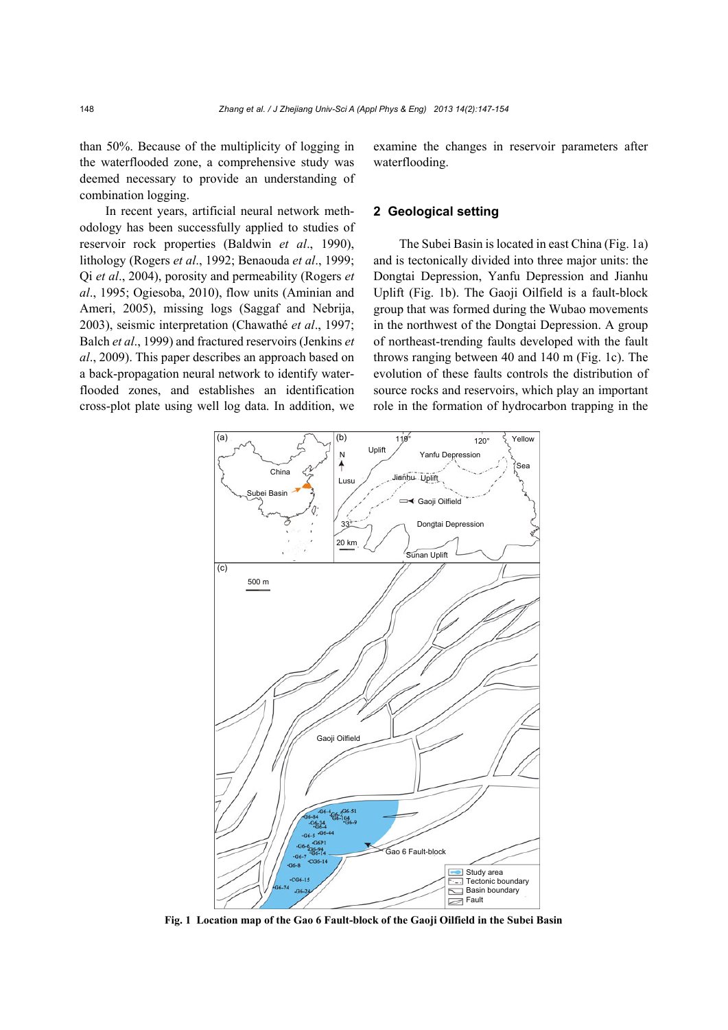than 50%. Because of the multiplicity of logging in the waterflooded zone, a comprehensive study was deemed necessary to provide an understanding of combination logging.

In recent years, artificial neural network methodology has been successfully applied to studies of reservoir rock properties (Baldwin *et al*., 1990), lithology (Rogers *et al*., 1992; Benaouda *et al*., 1999; Qi *et al*., 2004), porosity and permeability (Rogers *et al*., 1995; Ogiesoba, 2010), flow units (Aminian and Ameri, 2005), missing logs (Saggaf and Nebrija, 2003), seismic interpretation (Chawathé *et al*., 1997; Balch *et al*., 1999) and fractured reservoirs (Jenkins *et al*., 2009). This paper describes an approach based on a back-propagation neural network to identify waterflooded zones, and establishes an identification cross-plot plate using well log data. In addition, we examine the changes in reservoir parameters after waterflooding.

#### **2 Geological setting**

The Subei Basin is located in east China (Fig. 1a) and is tectonically divided into three major units: the Dongtai Depression, Yanfu Depression and Jianhu Uplift (Fig. 1b). The Gaoji Oilfield is a fault-block group that was formed during the Wubao movements in the northwest of the Dongtai Depression. A group of northeast-trending faults developed with the fault throws ranging between 40 and 140 m (Fig. 1c). The evolution of these faults controls the distribution of source rocks and reservoirs, which play an important role in the formation of hydrocarbon trapping in the



**Fig. 1 Location map of the Gao 6 Fault-block of the Gaoji Oilfield in the Subei Basin**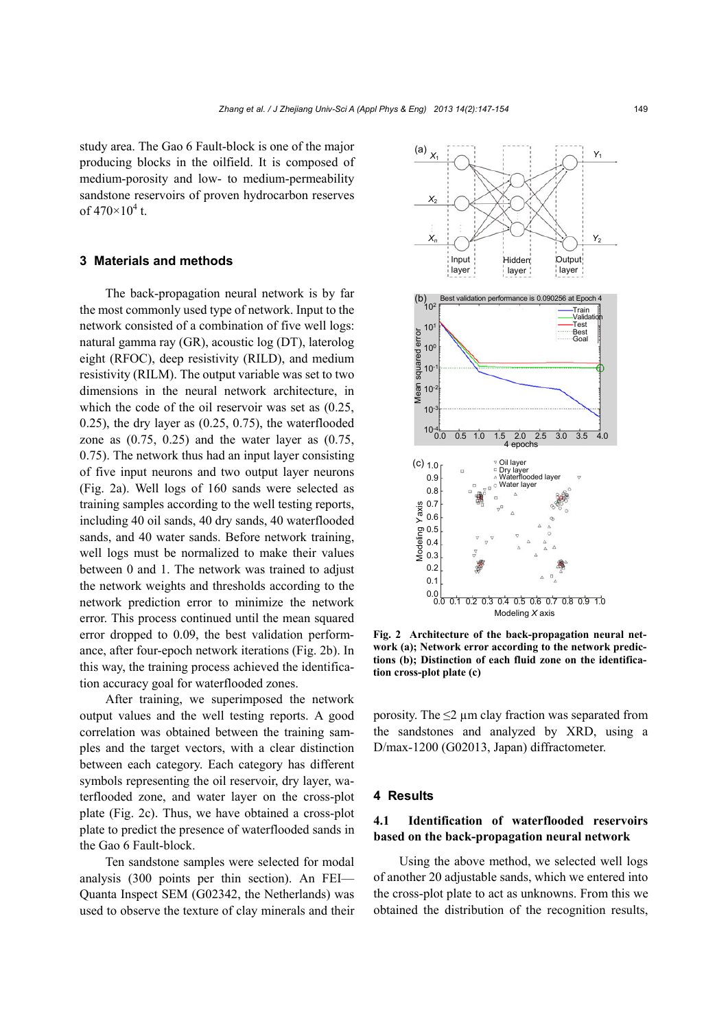study area. The Gao 6 Fault-block is one of the major producing blocks in the oilfield. It is composed of medium-porosity and low- to medium-permeability sandstone reservoirs of proven hydrocarbon reserves of  $470 \times 10^4$  t.

## **3 Materials and methods**

The back-propagation neural network is by far the most commonly used type of network. Input to the network consisted of a combination of five well logs: natural gamma ray (GR), acoustic log (DT), laterolog eight (RFOC), deep resistivity (RILD), and medium resistivity (RILM). The output variable was set to two dimensions in the neural network architecture, in which the code of the oil reservoir was set as (0.25, 0.25), the dry layer as (0.25, 0.75), the waterflooded zone as  $(0.75, 0.25)$  and the water layer as  $(0.75, 0.25)$ 0.75). The network thus had an input layer consisting of five input neurons and two output layer neurons (Fig. 2a). Well logs of 160 sands were selected as training samples according to the well testing reports, including 40 oil sands, 40 dry sands, 40 waterflooded sands, and 40 water sands. Before network training, well logs must be normalized to make their values between 0 and 1. The network was trained to adjust the network weights and thresholds according to the network prediction error to minimize the network error. This process continued until the mean squared error dropped to 0.09, the best validation performance, after four-epoch network iterations (Fig. 2b). In this way, the training process achieved the identification accuracy goal for waterflooded zones.

After training, we superimposed the network output values and the well testing reports. A good correlation was obtained between the training samples and the target vectors, with a clear distinction between each category. Each category has different symbols representing the oil reservoir, dry layer, waterflooded zone, and water layer on the cross-plot plate (Fig. 2c). Thus, we have obtained a cross-plot plate to predict the presence of waterflooded sands in the Gao 6 Fault-block.

Ten sandstone samples were selected for modal analysis (300 points per thin section). An FEI— Quanta Inspect SEM (G02342, the Netherlands) was used to observe the texture of clay minerals and their



**Fig. 2 Architecture of the back-propagation neural network (a); Network error according to the network predictions (b); Distinction of each fluid zone on the identification cross-plot plate (c)** 

porosity. The  $\leq$   $2 \mu$ m clay fraction was separated from the sandstones and analyzed by XRD, using a D/max-1200 (G02013, Japan) diffractometer.

#### **4 Results**

## **4.1 Identification of waterflooded reservoirs based on the back-propagation neural network**

Using the above method, we selected well logs of another 20 adjustable sands, which we entered into the cross-plot plate to act as unknowns. From this we obtained the distribution of the recognition results,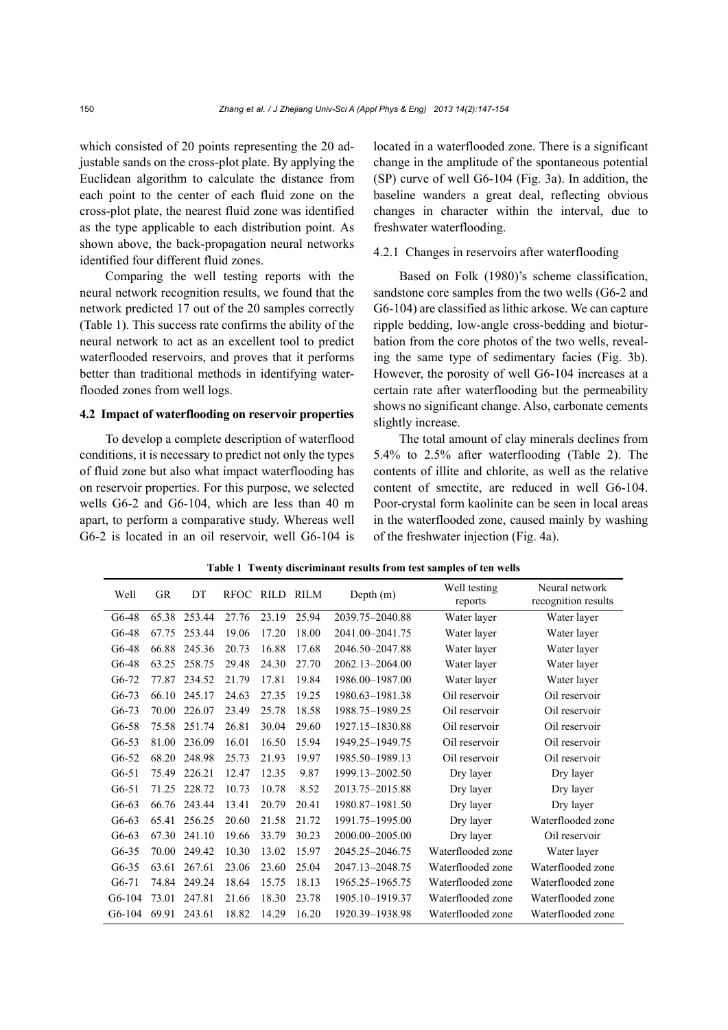which consisted of 20 points representing the 20 adjustable sands on the cross-plot plate. By applying the Euclidean algorithm to calculate the distance from each point to the center of each fluid zone on the cross-plot plate, the nearest fluid zone was identified as the type applicable to each distribution point. As shown above, the back-propagation neural networks identified four different fluid zones.

Comparing the well testing reports with the neural network recognition results, we found that the network predicted 17 out of the 20 samples correctly (Table 1). This success rate confirms the ability of the neural network to act as an excellent tool to predict waterflooded reservoirs, and proves that it performs better than traditional methods in identifying waterflooded zones from well logs.

#### **4.2 Impact of waterflooding on reservoir properties**

To develop a complete description of waterflood conditions, it is necessary to predict not only the types of fluid zone but also what impact waterflooding has on reservoir properties. For this purpose, we selected wells G6-2 and G6-104, which are less than 40 m apart, to perform a comparative study. Whereas well G6-2 is located in an oil reservoir, well G6-104 is located in a waterflooded zone. There is a significant change in the amplitude of the spontaneous potential (SP) curve of well G6-104 (Fig. 3a). In addition, the baseline wanders a great deal, reflecting obvious changes in character within the interval, due to freshwater waterflooding.

#### 4.2.1 Changes in reservoirs after waterflooding

Based on Folk (1980)'s scheme classification, sandstone core samples from the two wells (G6-2 and G6-104) are classified as lithic arkose. We can capture ripple bedding, low-angle cross-bedding and bioturbation from the core photos of the two wells, revealing the same type of sedimentary facies (Fig. 3b). However, the porosity of well G6-104 increases at a certain rate after waterflooding but the permeability shows no significant change. Also, carbonate cements slightly increase.

The total amount of clay minerals declines from 5.4% to 2.5% after waterflooding (Table 2). The contents of illite and chlorite, as well as the relative content of smectite, are reduced in well G6-104. Poor-crystal form kaolinite can be seen in local areas in the waterflooded zone, caused mainly by washing of the freshwater injection (Fig. 4a).

| Well     | <b>GR</b> | DT     | <b>RFOC</b> | RILD  | RILM  | Depth (m)       | Well testing<br>reports | Neural network<br>recognition results |  |
|----------|-----------|--------|-------------|-------|-------|-----------------|-------------------------|---------------------------------------|--|
| $G6-48$  | 65.38     | 253.44 | 27.76       | 23.19 | 25.94 | 2039.75-2040.88 | Water layer             | Water layer                           |  |
| G6-48    | 67.75     | 253.44 | 19.06       | 17.20 | 18.00 | 2041.00-2041.75 | Water layer             | Water layer                           |  |
| G6-48    | 66.88     | 245.36 | 20.73       | 16.88 | 17.68 | 2046.50-2047.88 | Water layer             | Water layer                           |  |
| $G6-48$  | 63.25     | 258.75 | 29.48       | 24.30 | 27.70 | 2062.13-2064.00 | Water layer             | Water layer                           |  |
| $G6-72$  | 77.87     | 234.52 | 21.79       | 17.81 | 19.84 | 1986.00-1987.00 | Water layer             | Water layer                           |  |
| $G6-73$  | 66.10     | 245.17 | 24.63       | 27.35 | 19.25 | 1980.63-1981.38 | Oil reservoir           | Oil reservoir                         |  |
| $G6-73$  | 70.00     | 226.07 | 23.49       | 25.78 | 18.58 | 1988.75-1989.25 | Oil reservoir           | Oil reservoir                         |  |
| $G6-58$  | 75.58     | 251.74 | 26.81       | 30.04 | 29.60 | 1927.15-1830.88 | Oil reservoir           | Oil reservoir                         |  |
| $G6-53$  | 81.00     | 236.09 | 16.01       | 16.50 | 15.94 | 1949.25-1949.75 | Oil reservoir           | Oil reservoir                         |  |
| $G6-52$  | 68.20     | 248.98 | 25.73       | 21.93 | 19.97 | 1985.50-1989.13 | Oil reservoir           | Oil reservoir                         |  |
| $G6-51$  | 75.49     | 226.21 | 12.47       | 12.35 | 9.87  | 1999.13-2002.50 | Dry layer               | Dry layer                             |  |
| $G6-51$  | 71.25     | 228.72 | 10.73       | 10.78 | 8.52  | 2013.75-2015.88 | Dry layer               | Dry layer                             |  |
| $G6-63$  | 66.76     | 243.44 | 13.41       | 20.79 | 20.41 | 1980.87-1981.50 | Dry layer               | Dry layer                             |  |
| $G6-63$  | 65.41     | 256.25 | 20.60       | 21.58 | 21.72 | 1991.75-1995.00 | Dry layer               | Waterflooded zone                     |  |
| $G6-63$  | 67.30     | 241.10 | 19.66       | 33.79 | 30.23 | 2000.00-2005.00 | Dry layer               | Oil reservoir                         |  |
| $G6-35$  | 70.00     | 249.42 | 10.30       | 13.02 | 15.97 | 2045.25-2046.75 | Waterflooded zone       | Water layer                           |  |
| $G6-35$  | 63.61     | 267.61 | 23.06       | 23.60 | 25.04 | 2047.13-2048.75 | Waterflooded zone       | Waterflooded zone                     |  |
| $G6-71$  | 74.84     | 249.24 | 18.64       | 15.75 | 18.13 | 1965.25-1965.75 | Waterflooded zone       | Waterflooded zone                     |  |
| G6-104   | 73.01     | 247.81 | 21.66       | 18.30 | 23.78 | 1905.10-1919.37 | Waterflooded zone       | Waterflooded zone                     |  |
| $G6-104$ | 69.91     | 243.61 | 18.82       | 14.29 | 16.20 | 1920.39-1938.98 | Waterflooded zone       | Waterflooded zone                     |  |

**Table 1 Twenty discriminant results from test samples of ten wells**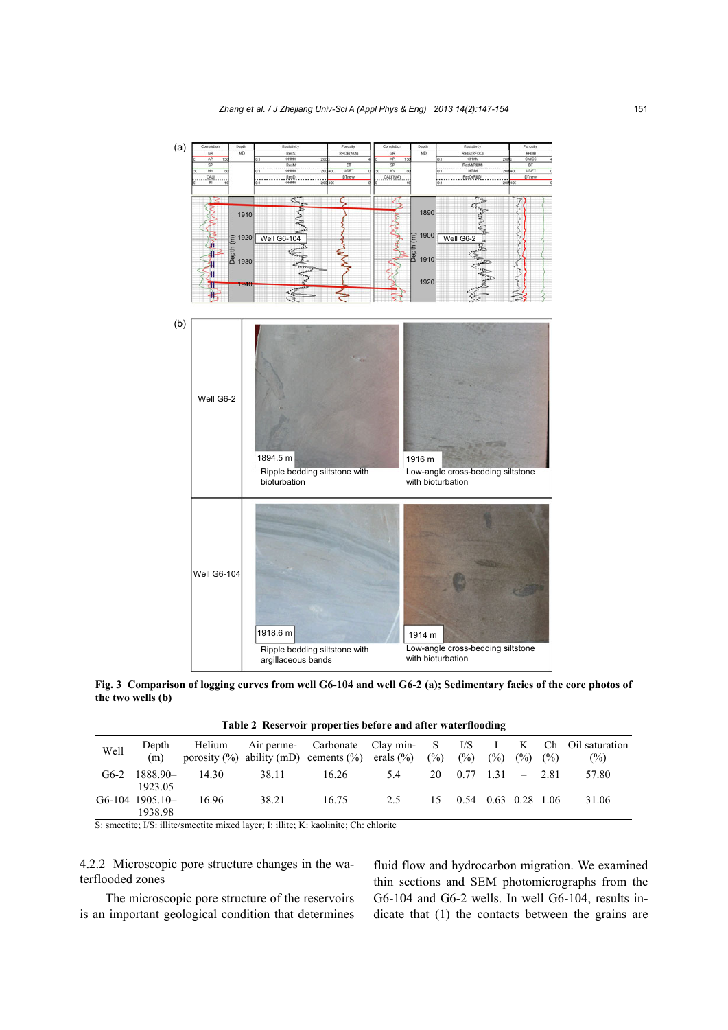

**Fig. 3 Comparison of logging curves from well G6-104 and well G6-2 (a); Sedimentary facies of the core photos of the two wells (b)**

**Table 2 Reservoir properties before and after waterflooding** 

| Well | Depth<br>(m)    | Helium |       | porosity $(\%)$ ability (mD) cements $(\%)$ erals $(\%)$ (%) |     | $($ %)                      | (%) | (%) | (%) | Air perme- Carbonate Clay min- S I/S I K Ch Oil saturation<br>$\frac{6}{2}$ |
|------|-----------------|--------|-------|--------------------------------------------------------------|-----|-----------------------------|-----|-----|-----|-----------------------------------------------------------------------------|
|      | $G6-2$ 1888.90- | 14.30  | 38.11 | 16.26                                                        | 5.4 | $20 \t 0.77 \t 1.31 - 2.81$ |     |     |     | 57.80                                                                       |
|      | 1923.05         |        |       |                                                              |     |                             |     |     |     |                                                                             |
|      | G6-104 1905.10- | 16.96  | 38.21 | 16.75                                                        | 2.5 | 15 0.54 0.63 0.28 1.06      |     |     |     | 31.06                                                                       |
|      | 1938.98         |        |       |                                                              |     |                             |     |     |     |                                                                             |

S: smectite; I/S: illite/smectite mixed layer; I: illite; K: kaolinite; Ch: chlorite

4.2.2 Microscopic pore structure changes in the waterflooded zones

The microscopic pore structure of the reservoirs is an important geological condition that determines fluid flow and hydrocarbon migration. We examined thin sections and SEM photomicrographs from the G6-104 and G6-2 wells. In well G6-104, results indicate that (1) the contacts between the grains are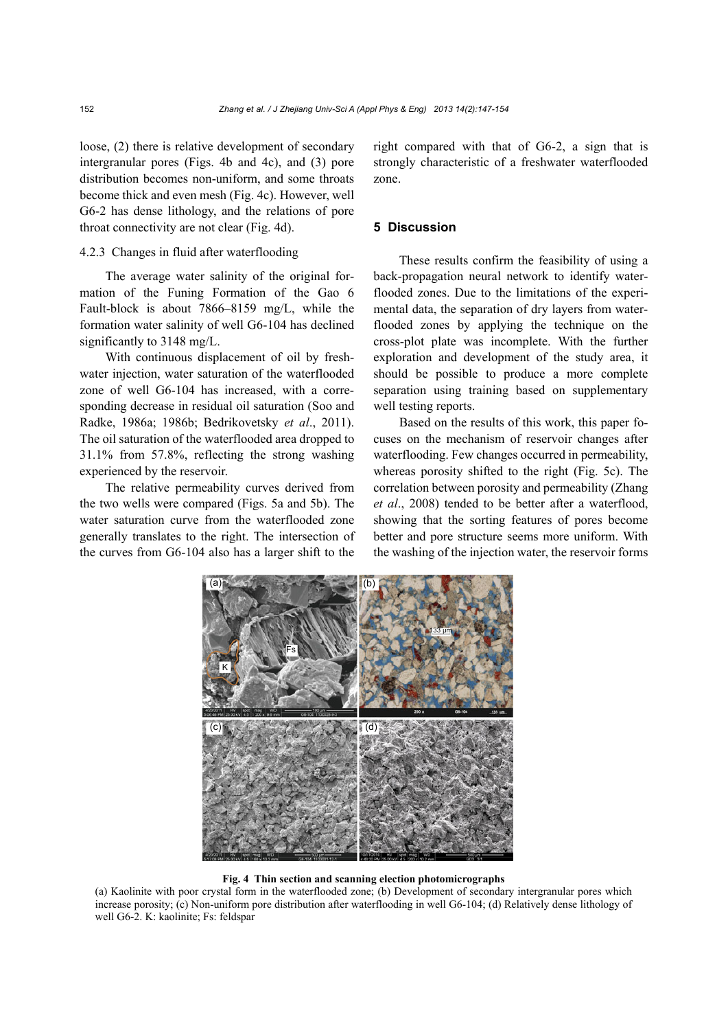loose, (2) there is relative development of secondary intergranular pores (Figs. 4b and 4c), and (3) pore distribution becomes non-uniform, and some throats become thick and even mesh (Fig. 4c). However, well G6-2 has dense lithology, and the relations of pore throat connectivity are not clear (Fig. 4d).

## 4.2.3 Changes in fluid after waterflooding

The average water salinity of the original formation of the Funing Formation of the Gao 6 Fault-block is about 7866–8159 mg/L, while the formation water salinity of well G6-104 has declined significantly to 3148 mg/L.

With continuous displacement of oil by freshwater injection, water saturation of the waterflooded zone of well G6-104 has increased, with a corresponding decrease in residual oil saturation (Soo and Radke, 1986a; 1986b; Bedrikovetsky *et al*., 2011). The oil saturation of the waterflooded area dropped to 31.1% from 57.8%, reflecting the strong washing experienced by the reservoir.

The relative permeability curves derived from the two wells were compared (Figs. 5a and 5b). The water saturation curve from the waterflooded zone generally translates to the right. The intersection of the curves from G6-104 also has a larger shift to the

right compared with that of G6-2, a sign that is strongly characteristic of a freshwater waterflooded zone.

#### **5 Discussion**

These results confirm the feasibility of using a back-propagation neural network to identify waterflooded zones. Due to the limitations of the experimental data, the separation of dry layers from waterflooded zones by applying the technique on the cross-plot plate was incomplete. With the further exploration and development of the study area, it should be possible to produce a more complete separation using training based on supplementary well testing reports.

Based on the results of this work, this paper focuses on the mechanism of reservoir changes after waterflooding. Few changes occurred in permeability, whereas porosity shifted to the right (Fig. 5c). The correlation between porosity and permeability (Zhang *et al*., 2008) tended to be better after a waterflood, showing that the sorting features of pores become better and pore structure seems more uniform. With the washing of the injection water, the reservoir forms



#### **Fig. 4 Thin section and scanning election photomicrographs**

(a) Kaolinite with poor crystal form in the waterflooded zone; (b) Development of secondary intergranular pores which increase porosity; (c) Non-uniform pore distribution after waterflooding in well G6-104; (d) Relatively dense lithology of well G6-2. K: kaolinite; Fs: feldspar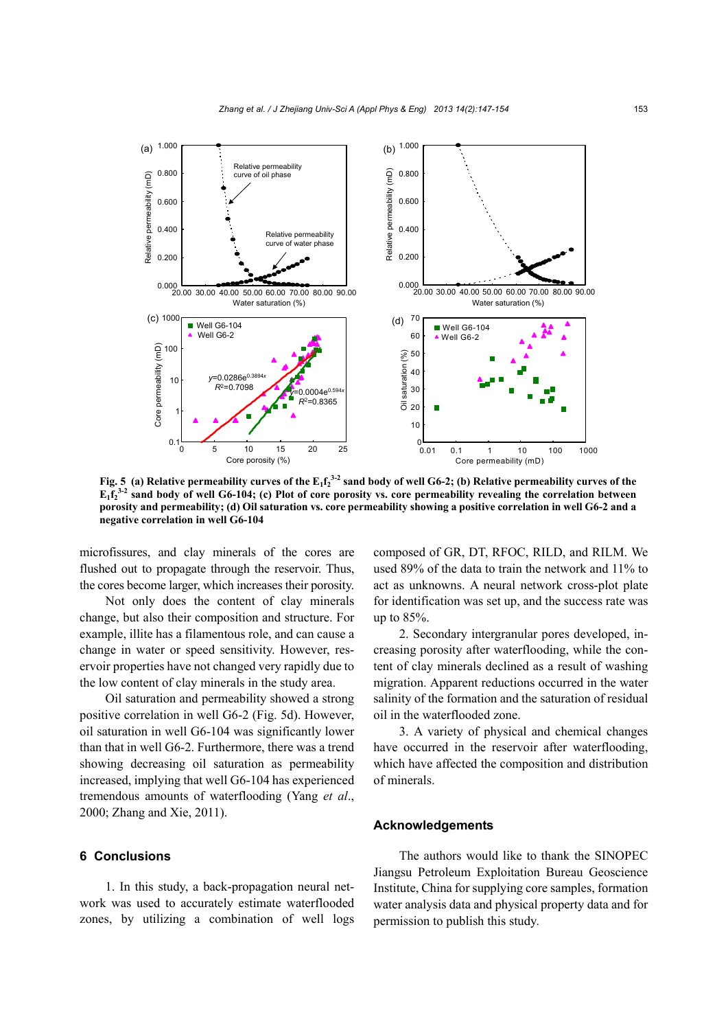

Fig. 5 (a) Relative permeability curves of the  $E_1f_2^{3-2}$  sand body of well G6-2; (b) Relative permeability curves of the  $E_1f_2^{3-2}$  sand body of well G6-104; (c) Plot of core porosity vs. core permeability revealing the correlation between **porosity and permeability; (d) Oil saturation vs. core permeability showing a positive correlation in well G6-2 and a negative correlation in well G6-104**

microfissures, and clay minerals of the cores are flushed out to propagate through the reservoir. Thus, the cores become larger, which increases their porosity.

Not only does the content of clay minerals change, but also their composition and structure. For example, illite has a filamentous role, and can cause a change in water or speed sensitivity. However, reservoir properties have not changed very rapidly due to the low content of clay minerals in the study area.

Oil saturation and permeability showed a strong positive correlation in well G6-2 (Fig. 5d). However, oil saturation in well G6-104 was significantly lower than that in well G6-2. Furthermore, there was a trend showing decreasing oil saturation as permeability increased, implying that well G6-104 has experienced tremendous amounts of waterflooding (Yang *et al*., 2000; Zhang and Xie, 2011).

# **6 Conclusions**

1. In this study, a back-propagation neural network was used to accurately estimate waterflooded zones, by utilizing a combination of well logs composed of GR, DT, RFOC, RILD, and RILM. We used 89% of the data to train the network and 11% to act as unknowns. A neural network cross-plot plate for identification was set up, and the success rate was up to 85%.

2. Secondary intergranular pores developed, increasing porosity after waterflooding, while the content of clay minerals declined as a result of washing migration. Apparent reductions occurred in the water salinity of the formation and the saturation of residual oil in the waterflooded zone.

3. A variety of physical and chemical changes have occurred in the reservoir after waterflooding, which have affected the composition and distribution of minerals.

## **Acknowledgements**

The authors would like to thank the SINOPEC Jiangsu Petroleum Exploitation Bureau Geoscience Institute, China for supplying core samples, formation water analysis data and physical property data and for permission to publish this study.